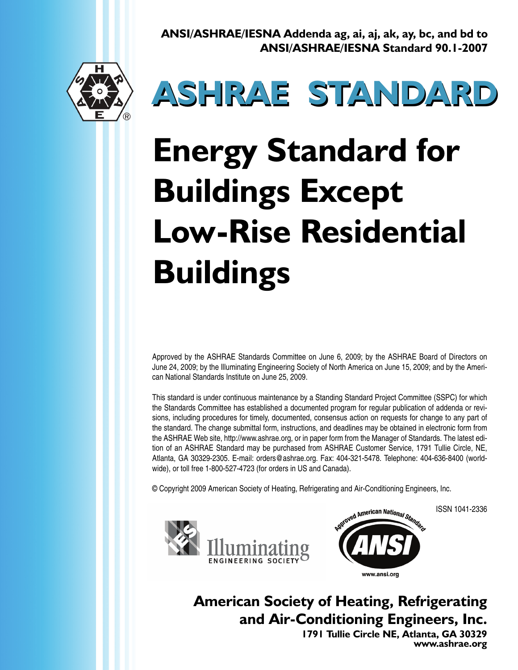**ANSI/ASHRAE/IESNA Addenda ag, ai, aj, ak, ay, bc, and bd to ANSI/ASHRAE/IESNA Standard 90.1-2007**





# **Energy Standard for Buildings Except Low-Rise Residential Buildings**

Approved by the ASHRAE Standards Committee on June 6, 2009; by the ASHRAE Board of Directors on June 24, 2009; by the Illuminating Engineering Society of North America on June 15, 2009; and by the American National Standards Institute on June 25, 2009.

This standard is under continuous maintenance by a Standing Standard Project Committee (SSPC) for which the Standards Committee has established a documented program for regular publication of addenda or revisions, including procedures for timely, documented, consensus action on requests for change to any part of the standard. The change submittal form, instructions, and deadlines may be obtained in electronic form from the ASHRAE Web site, http://www.ashrae.org, or in paper form from the Manager of Standards. The latest edition of an ASHRAE Standard may be purchased from ASHRAE Customer Service, 1791 Tullie Circle, NE, Atlanta, GA 30329-2305. E-mail: orders@ashrae.org. Fax: 404-321-5478. Telephone: 404-636-8400 (worldwide), or toll free 1-800-527-4723 (for orders in US and Canada).

© Copyright 2009 American Society of Heating, Refrigerating and Air-Conditioning Engineers, Inc.



**American Society of Heating, Refrigerating and Air-Conditioning Engineers, Inc.**

**1791 Tullie Circle NE, Atlanta, GA 30329 www.ashrae.org**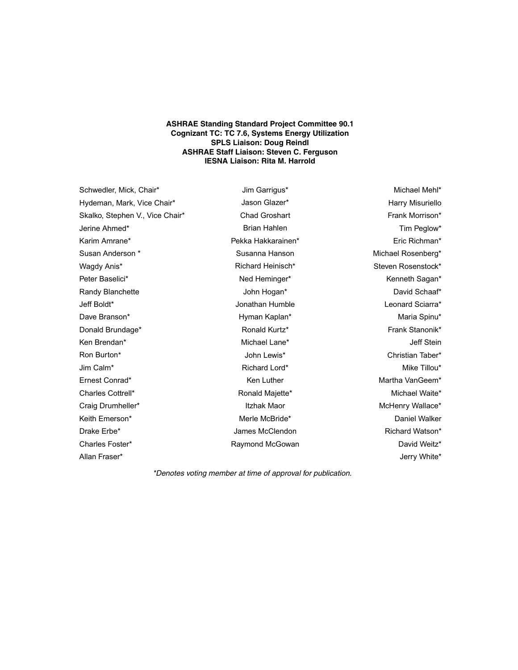## **ASHRAE Standing Standard Project Committee 90.1 Cognizant TC: TC 7.6, Systems Energy Utilization SPLS Liaison: Doug Reindl ASHRAE Staff Liaison: Steven C. Ferguson IESNA Liaison: Rita M. Harrold**

Schwedler, Mick, Chair\* The Michael Mehl\* Jim Garrigus\* The Michael Mehl\* Michael Mehl\* Hydeman, Mark, Vice Chair\* The Music of Jason Glazer\* The Marry Misuriello Harry Misuriello Skalko, Stephen V., Vice Chair\* Chad Groshart Frank Morrison\* Frank Morrison\* Jerine Ahmed\* Brian Hahlen Tim Peglow\* Karim Amrane\* Pekka Hakkarainen\* Eric Richman\* Susan Anderson \* The Susanna Hanson Michael Rosenberg \* Susanna Hanson Michael Rosenberg \* Wagdy Anis\* The Steven Rosenstock Richard Heinisch\* Steven Rosenstock\* Peter Baselici\* The Communication of the Ned Heminger\* The Communication of Ned Heminger\* The Communication of Kenneth Sagan\* Randy Blanchette **Manual Schaaf**\* John Hogan\* David Schaaf\* David Schaaf\* Jeff Boldt\* Jonathan Humble Leonard Sciarra\* Dave Branson\* The Spinu Maria Spinu Maria Spinu Maria Spinu Maria Spinu Maria Spinu Maria Spinu Maria Spinu Maria Spinu Maria Spinu Maria Spinu Maria Spinu Maria Spinu Maria Spinu Maria Spinu Maria Spinu Maria Spinu Maria Donald Brundage\* The Ronald Kurtz\* Frank Stanonik\* Ken Brendan\* The Controller of the Michael Lane\* The Michael Lane of the Michael Lane of the Michael Lane of the Michael Lane of the Michael Lane of the Michael Lane of the Michael Lane of the Michael Lane of the Michael L Ron Burton\* John Lewis\* Christian Taber\* Jim Calm\* Richard Lord\* Mike Tillou\* Ernest Conrad\* The Contrast Conrading Contrast Conrading Martha VanGeem\* Charles Cottrell\* The Constantine Ronald Majette\* The Constantine Michael Waite\* Michael Waite\* Craig Drumheller\* The Craig Drumheller Manuscription of the McHenry Wallace McHenry Wallace Muslem Craig Drumheller Keith Emerson\* The Controllection of Merle McBride\* The McGride McBride McGride McGride McGride McGride McGride McGride McGride McGride McGride McGride McGride McGride McGride McGride McGride McGride McGride McGride McGrid Drake Erbe\* The Communication of the State McClendon Communication Richard Watson\* Charles Foster\* The Charles Foster Charles Foster Maymond McGowan Number 2012 19:30 David Weitz\*

*\*Denotes voting member at time of approval for publication.*

Allan Fraser\* Jerry White\*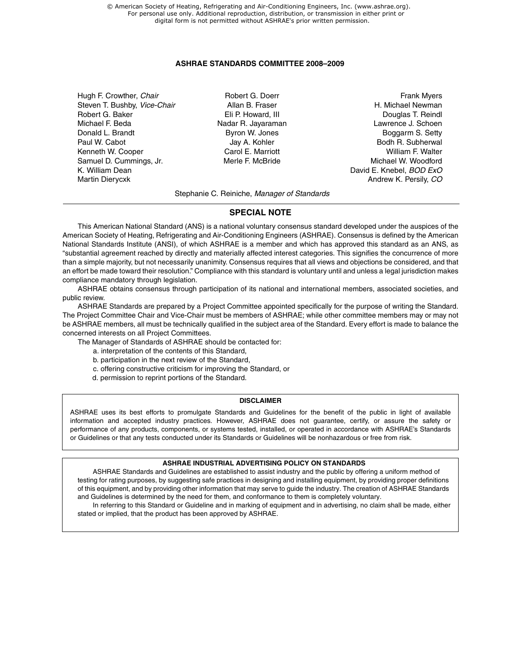### **ASHRAE STANDARDS COMMITTEE 2008–2009**

Hugh F. Crowther, *Chair* Steven T. Bushby, *Vice-Chair* Robert G. Baker Michael F. Beda Donald L. Brandt Paul W. Cabot Kenneth W. Cooper Samuel D. Cummings, Jr. K. William Dean Martin Dierycxk

Robert G. Doerr Allan B. Fraser Eli P. Howard, III Nadar R. Jayaraman Byron W. Jones Jay A. Kohler Carol E. Marriott Merle F. McBride

Frank Myers H. Michael Newman Douglas T. Reindl Lawrence J. Schoen Boggarm S. Setty Bodh R. Subherwal William F. Walter Michael W. Woodford David E. Knebel, *BOD ExO* Andrew K. Persily, *CO*

Stephanie C. Reiniche, *Manager of Standards*

### **SPECIAL NOTE**

This American National Standard (ANS) is a national voluntary consensus standard developed under the auspices of the American Society of Heating, Refrigerating and Air-Conditioning Engineers (ASHRAE). Consensus is defined by the American National Standards Institute (ANSI), of which ASHRAE is a member and which has approved this standard as an ANS, as "substantial agreement reached by directly and materially affected interest categories. This signifies the concurrence of more than a simple majority, but not necessarily unanimity. Consensus requires that all views and objections be considered, and that an effort be made toward their resolution." Compliance with this standard is voluntary until and unless a legal jurisdiction makes compliance mandatory through legislation.

ASHRAE obtains consensus through participation of its national and international members, associated societies, and public review.

ASHRAE Standards are prepared by a Project Committee appointed specifically for the purpose of writing the Standard. The Project Committee Chair and Vice-Chair must be members of ASHRAE; while other committee members may or may not be ASHRAE members, all must be technically qualified in the subject area of the Standard. Every effort is made to balance the concerned interests on all Project Committees.

The Manager of Standards of ASHRAE should be contacted for:

- a. interpretation of the contents of this Standard,
- b. participation in the next review of the Standard,
- c. offering constructive criticism for improving the Standard, or
- d. permission to reprint portions of the Standard.

#### **DISCLAIMER**

ASHRAE uses its best efforts to promulgate Standards and Guidelines for the benefit of the public in light of available information and accepted industry practices. However, ASHRAE does not guarantee, certify, or assure the safety or performance of any products, components, or systems tested, installed, or operated in accordance with ASHRAE's Standards or Guidelines or that any tests conducted under its Standards or Guidelines will be nonhazardous or free from risk.

#### **ASHRAE INDUSTRIAL ADVERTISING POLICY ON STANDARDS**

ASHRAE Standards and Guidelines are established to assist industry and the public by offering a uniform method of testing for rating purposes, by suggesting safe practices in designing and installing equipment, by providing proper definitions of this equipment, and by providing other information that may serve to guide the industry. The creation of ASHRAE Standards and Guidelines is determined by the need for them, and conformance to them is completely voluntary.

In referring to this Standard or Guideline and in marking of equipment and in advertising, no claim shall be made, either stated or implied, that the product has been approved by ASHRAE.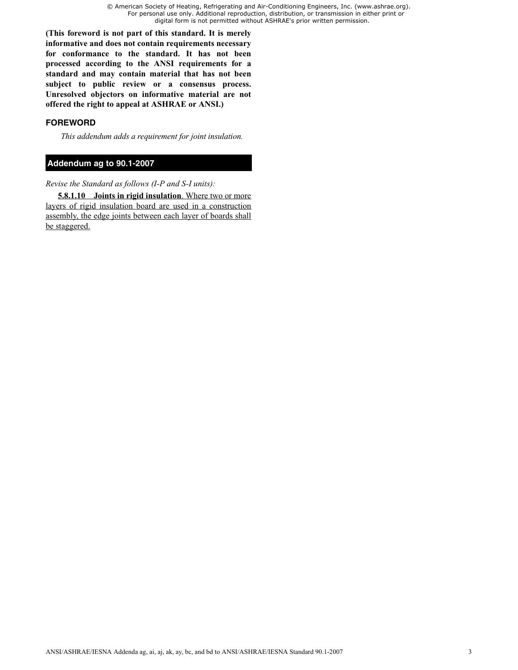**(This foreword is not part of this standard. It is merely informative and does not contain requirements necessary for conformance to the standard. It has not been processed according to the ANSI requirements for a standard and may contain material that has not been subject to public review or a consensus process. Unresolved objectors on informative material are not offered the right to appeal at ASHRAE or ANSI.)**

## **FOREWORD**

*This addendum adds a requirement for joint insulation.*

## **Addendum ag to 90.1-2007**

*Revise the Standard as follows (I-P and S-I units):*

**5.8.1.10 Joints in rigid insulation**. Where two or more layers of rigid insulation board are used in a construction assembly, the edge joints between each layer of boards shall be staggered.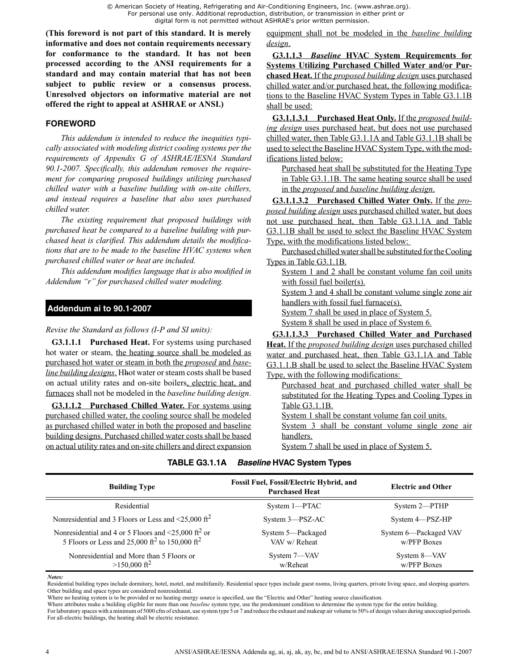**(This foreword is not part of this standard. It is merely informative and does not contain requirements necessary for conformance to the standard. It has not been processed according to the ANSI requirements for a standard and may contain material that has not been subject to public review or a consensus process. Unresolved objectors on informative material are not offered the right to appeal at ASHRAE or ANSI.)**

## **FOREWORD**

*This addendum is intended to reduce the inequities typically associated with modeling district cooling systems per the requirements of Appendix G of ASHRAE/IESNA Standard 90.1-2007. Specifically, this addendum removes the requirement for comparing proposed buildings utilizing purchased chilled water with a baseline building with on-site chillers, and instead requires a baseline that also uses purchased chilled water.*

*The existing requirement that proposed buildings with purchased heat be compared to a baseline building with purchased heat is clarified. This addendum details the modifications that are to be made to the baseline HVAC systems when purchased chilled water or heat are included.*

*This addendum modifies language that is also modified in Addendum "r" for purchased chilled water modeling.*

## **Addendum ai to 90.1-2007**

*Revise the Standard as follows (I-P and SI units):*

**G3.1.1.1 Purchased Heat.** For systems using purchased hot water or steam, the heating source shall be modeled as purchased hot water or steam in both the *proposed* and *baseline building designs*. Hhot water or steam costs shall be based on actual utility rates and on-site boilers, electric heat, and furnaces shall not be modeled in the *baseline building design*.

**G3.1.1.2 Purchased Chilled Water.** For systems using purchased chilled water, the cooling source shall be modeled as purchased chilled water in both the proposed and baseline building designs. Purchased chilled water costs shall be based on actual utility rates and on-site chillers and direct expansion equipment shall not be modeled in the *baseline building design*.

**G3.1.1.3** *Baseline* **HVAC System Requirements for Systems Utilizing Purchased Chilled Water and/or Purchased Heat.** If the *proposed building design* uses purchased chilled water and/or purchased heat, the following modifications to the Baseline HVAC System Types in Table G3.1.1B shall be used:

**G3.1.1.3.1 Purchased Heat Only.** If the *proposed building design* uses purchased heat, but does not use purchased chilled water, then Table G3.1.1A and Table G3.1.1B shall be used to select the Baseline HVAC System Type, with the modifications listed below:

Purchased heat shall be substituted for the Heating Type in Table G3.1.1B. The same heating source shall be used in the *proposed* and *baseline building design*.

**G3.1.1.3.2 Purchased Chilled Water Only.** If the *proposed building design* uses purchased chilled water, but does not use purchased heat, then Table G3.1.1A and Table G3.1.1B shall be used to select the Baseline HVAC System Type, with the modifications listed below:

Purchased chilled water shall be substituted for the Cooling Types in Table G3.1.1B.

System 1 and 2 shall be constant volume fan coil units with fossil fuel boiler(s).

System 3 and 4 shall be constant volume single zone air handlers with fossil fuel furnace(s).

System 7 shall be used in place of System 5.

System 8 shall be used in place of System 6.

**G3.1.1.3.3 Purchased Chilled Water and Purchased Heat.** If the *proposed building design* uses purchased chilled water and purchased heat, then Table G3.1.1A and Table G3.1.1.B shall be used to select the Baseline HVAC System Type, with the following modifications:

Purchased heat and purchased chilled water shall be substituted for the Heating Types and Cooling Types in Table G3.1.1B.

System 1 shall be constant volume fan coil units.

System 3 shall be constant volume single zone air handlers.

System 7 shall be used in place of System 5.

| <b>Building Type</b>                                                                                                                        | Fossil Fuel, Fossil/Electric Hybrid, and<br><b>Purchased Heat</b> | <b>Electric and Other</b>            |
|---------------------------------------------------------------------------------------------------------------------------------------------|-------------------------------------------------------------------|--------------------------------------|
| Residential                                                                                                                                 | System 1-PTAC                                                     | System 2-PTHP                        |
| Nonresidential and 3 Floors or Less and $\leq 25,000$ ft <sup>2</sup>                                                                       | System 3-PSZ-AC                                                   | System 4-PSZ-HP                      |
| Nonresidential and 4 or 5 Floors and $\leq$ 25,000 ft <sup>2</sup> or<br>5 Floors or Less and 25,000 $\text{ft}^2$ to 150,000 $\text{ft}^2$ | System 5-Packaged<br>VAV w/ Reheat                                | System 6-Packaged VAV<br>w/PFP Boxes |
| Nonresidential and More than 5 Floors or<br>$>150,000$ ft <sup>2</sup>                                                                      | System 7—VAV<br>w/Reheat                                          | System 8-VAV<br>w/PFP Boxes          |

**TABLE G3.1.1A** *Baseline* **HVAC System Types**

Residential building types include dormitory, hotel, motel, and multifamily. Residential space types include guest rooms, living quarters, private living space, and sleeping quarters. Other building and space types are considered nonresidential.

Where no heating system is to be provided or no heating energy source is specified, use the "Electric and Other" heating source classification.

Where attributes make a building eligible for more than one *baseline* system type, use the predominant condition to determine the system type for the entire building.

For laboratory spaces with a minimum of 5000 cfm of exhaust, use system type 5 or 7 and reduce the exhaust and makeup air volume to 50% of design values during unoccupied periods. For all-electric buildings, the heating shall be electric resistance.

*Notes:*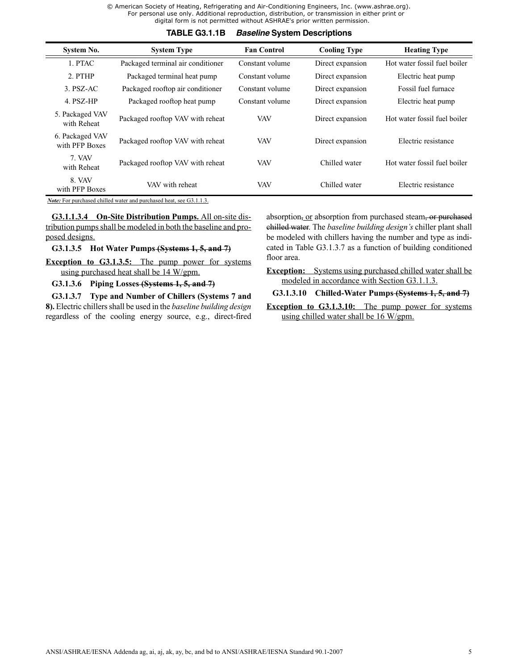| <b>System No.</b>                 | <b>System Type</b>                | <b>Fan Control</b> | <b>Cooling Type</b> | <b>Heating Type</b>          |
|-----------------------------------|-----------------------------------|--------------------|---------------------|------------------------------|
| 1. PTAC                           | Packaged terminal air conditioner | Constant volume    | Direct expansion    | Hot water fossil fuel boiler |
| 2. PTHP                           | Packaged terminal heat pump       | Constant volume    | Direct expansion    | Electric heat pump           |
| $3. PSZ-AC$                       | Packaged rooftop air conditioner  | Constant volume    | Direct expansion    | Fossil fuel furnace          |
| 4. PSZ-HP                         | Packaged rooftop heat pump        | Constant volume    | Direct expansion    | Electric heat pump           |
| 5. Packaged VAV<br>with Reheat    | Packaged rooftop VAV with reheat  | <b>VAV</b>         | Direct expansion    | Hot water fossil fuel boiler |
| 6. Packaged VAV<br>with PFP Boxes | Packaged rooftop VAV with reheat  | <b>VAV</b>         | Direct expansion    | Electric resistance          |
| 7. VAV<br>with Reheat             | Packaged rooftop VAV with reheat  | <b>VAV</b>         | Chilled water       | Hot water fossil fuel boiler |
| 8. VAV<br>with PFP Boxes          | VAV with reheat                   | VAV                | Chilled water       | Electric resistance          |

## **TABLE G3.1.1B** *Baseline* **System Descriptions**

*Note:* For purchased chilled water and purchased heat, see G3.1.1.3.

**G3.1.1.3.4 On-Site Distribution Pumps.** All on-site distribution pumps shall be modeled in both the baseline and proposed designs.

**G3.1.3.5 Hot Water Pumps (Systems 1, 5, and 7)**

**Exception to G3.1.3.5:** The pump power for systems using purchased heat shall be 14 W/gpm.

**G3.1.3.6 Piping Losses (Systems 1, 5, and 7)**

**G3.1.3.7 Type and Number of Chillers (Systems 7 and 8).** Electric chillers shall be used in the *baseline building design* regardless of the cooling energy source, e.g., direct-fired absorption, or absorption from purchased steam, or purchased chilled water. The *baseline building design's* chiller plant shall be modeled with chillers having the number and type as indicated in Table G3.1.3.7 as a function of building conditioned floor area.

**Exception:** Systems using purchased chilled water shall be modeled in accordance with Section G3.1.1.3.

## **G3.1.3.10 Chilled-Water Pumps (Systems 1, 5, and 7)**

**Exception to G3.1.3.10:** The pump power for systems using chilled water shall be 16 W/gpm.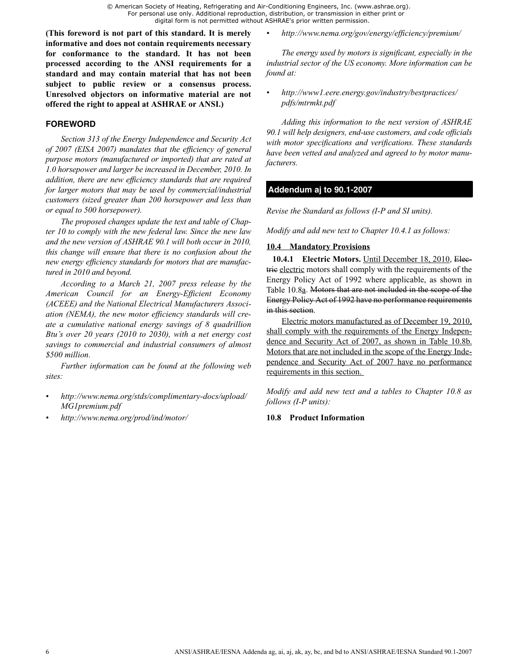**(This foreword is not part of this standard. It is merely informative and does not contain requirements necessary for conformance to the standard. It has not been processed according to the ANSI requirements for a standard and may contain material that has not been subject to public review or a consensus process. Unresolved objectors on informative material are not offered the right to appeal at ASHRAE or ANSI.)**

## **FOREWORD**

*Section 313 of the Energy Independence and Security Act of 2007 (EISA 2007) mandates that the efficiency of general purpose motors (manufactured or imported) that are rated at 1.0 horsepower and larger be increased in December, 2010. In addition, there are new efficiency standards that are required for larger motors that may be used by commercial/industrial customers (sized greater than 200 horsepower and less than or equal to 500 horsepower).*

*The proposed changes update the text and table of Chapter 10 to comply with the new federal law. Since the new law and the new version of ASHRAE 90.1 will both occur in 2010, this change will ensure that there is no confusion about the new energy efficiency standards for motors that are manufactured in 2010 and beyond.* 

*According to a March 21, 2007 press release by the American Council for an Energy-Efficient Economy (ACEEE) and the National Electrical Manufacturers Association (NEMA), the new motor efficiency standards will create a cumulative national energy savings of 8 quadrillion Btu's over 20 years (2010 to 2030), with a net energy cost savings to commercial and industrial consumers of almost \$500 million.* 

*Further information can be found at the following web sites:*

- *http://www.nema.org/stds/complimentary-docs/upload/ MG1premium.pdf*
- *http://www.nema.org/prod/ind/motor/*

*• http://www.nema.org/gov/energy/efficiency/premium/*

*The energy used by motors is significant, especially in the industrial sector of the US economy. More information can be found at:*

*• http://www1.eere.energy.gov/industry/bestpractices/ pdfs/mtrmkt.pdf*

*Adding this information to the next version of ASHRAE 90.1 will help designers, end-use customers, and code officials with motor specifications and verifications. These standards have been vetted and analyzed and agreed to by motor manufacturers.*

## **Addendum aj to 90.1-2007**

*Revise the Standard as follows (I-P and SI units).*

*Modify and add new text to Chapter 10.4.1 as follows:*

## **10.4 Mandatory Provisions**

**10.4.1 Electric Motors.** Until December 18, 2010, Electrie electric motors shall comply with the requirements of the Energy Policy Act of 1992 where applicable, as shown in Table 10.8a. Motors that are not included in the scope of the Energy Policy Act of 1992 have no performance requirements in this section.

Electric motors manufactured as of December 19, 2010, shall comply with the requirements of the Energy Independence and Security Act of 2007, as shown in Table 10.8b. Motors that are not included in the scope of the Energy Independence and Security Act of 2007 have no performance requirements in this section.

*Modify and add new text and a tables to Chapter 10.8 as follows (I-P units):*

## **10.8 Product Information**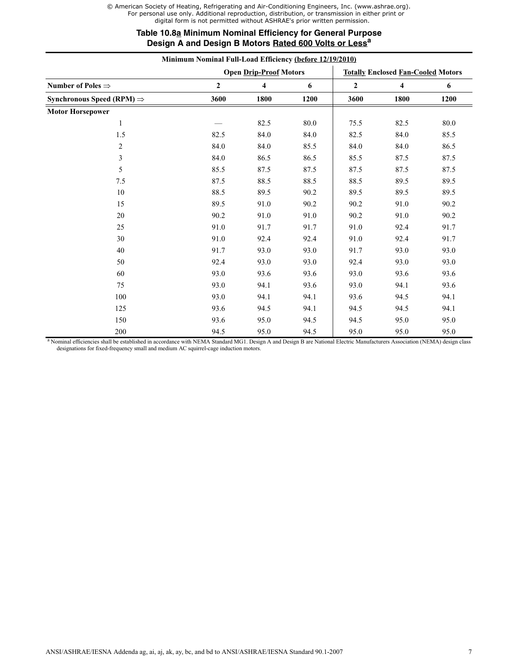# **Table 10.8a Minimum Nominal Efficiency for General Purpose Design A and Design B Motors Rated 600 Volts or Lessa**

| Minimum Nominal Full-Load Efficiency (before 12/19/2010) |                               |      |      |                                           |      |      |  |
|----------------------------------------------------------|-------------------------------|------|------|-------------------------------------------|------|------|--|
|                                                          | <b>Open Drip-Proof Motors</b> |      |      | <b>Totally Enclosed Fan-Cooled Motors</b> |      |      |  |
| Number of Poles $\Rightarrow$                            | $\boldsymbol{2}$              | 4    | 6    | $\boldsymbol{2}$                          | 4    | 6    |  |
| Synchronous Speed (RPM) $\Rightarrow$                    | 3600                          | 1800 | 1200 | 3600                                      | 1800 | 1200 |  |
| <b>Motor Horsepower</b>                                  |                               |      |      |                                           |      |      |  |
| $\mathbf{1}$                                             |                               | 82.5 | 80.0 | 75.5                                      | 82.5 | 80.0 |  |
| 1.5                                                      | 82.5                          | 84.0 | 84.0 | 82.5                                      | 84.0 | 85.5 |  |
| $\sqrt{2}$                                               | 84.0                          | 84.0 | 85.5 | 84.0                                      | 84.0 | 86.5 |  |
| 3                                                        | 84.0                          | 86.5 | 86.5 | 85.5                                      | 87.5 | 87.5 |  |
| 5                                                        | 85.5                          | 87.5 | 87.5 | 87.5                                      | 87.5 | 87.5 |  |
| 7.5                                                      | 87.5                          | 88.5 | 88.5 | 88.5                                      | 89.5 | 89.5 |  |
| 10                                                       | 88.5                          | 89.5 | 90.2 | 89.5                                      | 89.5 | 89.5 |  |
| 15                                                       | 89.5                          | 91.0 | 90.2 | 90.2                                      | 91.0 | 90.2 |  |
| 20                                                       | 90.2                          | 91.0 | 91.0 | 90.2                                      | 91.0 | 90.2 |  |
| 25                                                       | 91.0                          | 91.7 | 91.7 | 91.0                                      | 92.4 | 91.7 |  |
| 30                                                       | 91.0                          | 92.4 | 92.4 | 91.0                                      | 92.4 | 91.7 |  |
| 40                                                       | 91.7                          | 93.0 | 93.0 | 91.7                                      | 93.0 | 93.0 |  |
| 50                                                       | 92.4                          | 93.0 | 93.0 | 92.4                                      | 93.0 | 93.0 |  |
| 60                                                       | 93.0                          | 93.6 | 93.6 | 93.0                                      | 93.6 | 93.6 |  |
| 75                                                       | 93.0                          | 94.1 | 93.6 | 93.0                                      | 94.1 | 93.6 |  |
| 100                                                      | 93.0                          | 94.1 | 94.1 | 93.6                                      | 94.5 | 94.1 |  |
| 125                                                      | 93.6                          | 94.5 | 94.1 | 94.5                                      | 94.5 | 94.1 |  |
| 150                                                      | 93.6                          | 95.0 | 94.5 | 94.5                                      | 95.0 | 95.0 |  |
| 200                                                      | 94.5                          | 95.0 | 94.5 | 95.0                                      | 95.0 | 95.0 |  |

# **Minimum Nominal Full-Load Efficiency (before 12/19/2010)**

a Nominal efficiencies shall be established in accordance with NEMA Standard MG1. Design A and Design B are National Electric Manufacturers Association (NEMA) design class designations for fixed-frequency small and medium AC squirrel-cage induction motors.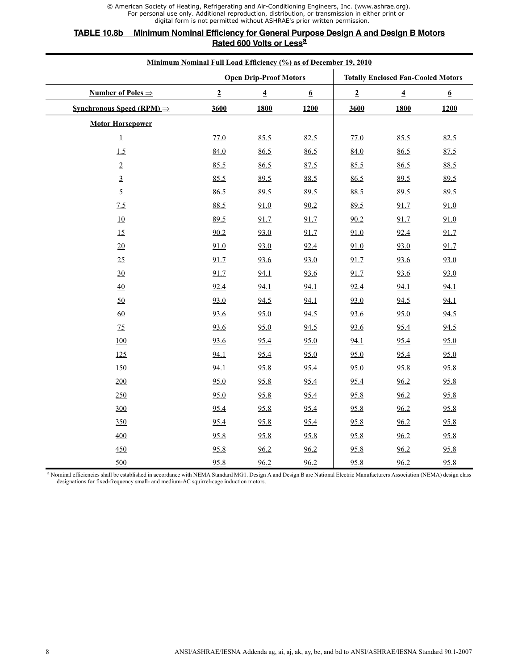| Minimum Nominal Full Load Efficiency (%) as of December 19, 2010 |                               |                         |                 |                                           |                         |                 |  |
|------------------------------------------------------------------|-------------------------------|-------------------------|-----------------|-------------------------------------------|-------------------------|-----------------|--|
|                                                                  | <b>Open Drip-Proof Motors</b> |                         |                 | <b>Totally Enclosed Fan-Cooled Motors</b> |                         |                 |  |
| Number of Poles $\Rightarrow$                                    | $\overline{2}$                | $\overline{\mathbf{4}}$ | $6\overline{6}$ | $\overline{2}$                            | $\overline{\mathbf{4}}$ | $6\overline{6}$ |  |
| Synchronous Speed (RPM) $\Rightarrow$                            | 3600                          | 1800                    | 1200            | 3600                                      | 1800                    | 1200            |  |
| <b>Motor Horsepower</b>                                          |                               |                         |                 |                                           |                         |                 |  |
| $\underline{1}$                                                  | 77.0                          | 85.5                    | 82.5            | 77.0                                      | 85.5                    | 82.5            |  |
| 1.5                                                              | 84.0                          | 86.5                    | 86.5            | 84.0                                      | 86.5                    | 87.5            |  |
| $\sqrt{2}$                                                       | 85.5                          | 86.5                    | 87.5            | 85.5                                      | 86.5                    | 88.5            |  |
| $\overline{3}$                                                   | 85.5                          | 89.5                    | 88.5            | 86.5                                      | 89.5                    | 89.5            |  |
| $\overline{5}$                                                   | 86.5                          | 89.5                    | 89.5            | 88.5                                      | 89.5                    | 89.5            |  |
| 7.5                                                              | 88.5                          | 91.0                    | 90.2            | 89.5                                      | 91.7                    | 91.0            |  |
| $\underline{10}$                                                 | 89.5                          | 91.7                    | 91.7            | 90.2                                      | 91.7                    | 91.0            |  |
| 15                                                               | 90.2                          | 93.0                    | 91.7            | 91.0                                      | 92.4                    | 91.7            |  |
| 20                                                               | 91.0                          | 93.0                    | 92.4            | 91.0                                      | 93.0                    | 91.7            |  |
| 25                                                               | 91.7                          | 93.6                    | 93.0            | 91.7                                      | 93.6                    | 93.0            |  |
| 30                                                               | 91.7                          | 94.1                    | 93.6            | 91.7                                      | 93.6                    | 93.0            |  |
| 40                                                               | 92.4                          | 94.1                    | 94.1            | 92.4                                      | 94.1                    | 94.1            |  |
| 50                                                               | 93.0                          | 94.5                    | 94.1            | 93.0                                      | 94.5                    | 94.1            |  |
| 60                                                               | 93.6                          | 95.0                    | 94.5            | 93.6                                      | 95.0                    | 94.5            |  |
| 75                                                               | 93.6                          | 95.0                    | 94.5            | 93.6                                      | 95.4                    | 94.5            |  |
| 100                                                              | 93.6                          | 95.4                    | 95.0            | 94.1                                      | 95.4                    | 95.0            |  |
| 125                                                              | 94.1                          | 95.4                    | 95.0            | 95.0                                      | 95.4                    | 95.0            |  |
| 150                                                              | 94.1                          | 95.8                    | 95.4            | 95.0                                      | 95.8                    | 95.8            |  |
| 200                                                              | 95.0                          | 95.8                    | 95.4            | 95.4                                      | 96.2                    | 95.8            |  |
| 250                                                              | 95.0                          | 95.8                    | 95.4            | 95.8                                      | 96.2                    | 95.8            |  |
| 300                                                              | 95.4                          | 95.8                    | 95.4            | 95.8                                      | 96.2                    | 95.8            |  |
| 350                                                              | 95.4                          | 95.8                    | 95.4            | 95.8                                      | 96.2                    | 95.8            |  |
| 400                                                              | 95.8                          | 95.8                    | 95.8            | 95.8                                      | 96.2                    | 95.8            |  |
| 450                                                              | 95.8                          | 96.2                    | 96.2            | 95.8                                      | 96.2                    | 95.8            |  |
| 500                                                              | 95.8                          | 96.2                    | 96.2            | 95.8                                      | 96.2                    | 95.8            |  |

# **TABLE 10.8b Minimum Nominal Efficiency for General Purpose Design A and Design B Motors Rated 600 Volts or Lessa**

a Nominal efficiencies shall be established in accordance with NEMA Standard MG1. Design A and Design B are National Electric Manufacturers Association (NEMA) design class designations for fixed-frequency small- and medium-AC squirrel-cage induction motors.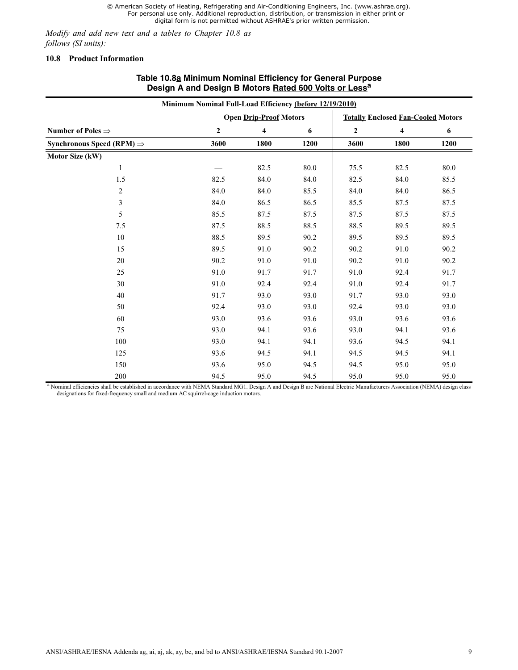*Modify and add new text and a tables to Chapter 10.8 as follows (SI units):*

## **10.8 Product Information**

| Design A and Design D Motors <u>hated 000 Volts of Less</u> |                               |      |      |                                           |      |      |  |
|-------------------------------------------------------------|-------------------------------|------|------|-------------------------------------------|------|------|--|
| Minimum Nominal Full-Load Efficiency (before 12/19/2010)    |                               |      |      |                                           |      |      |  |
|                                                             | <b>Open Drip-Proof Motors</b> |      |      | <b>Totally Enclosed Fan-Cooled Motors</b> |      |      |  |
| Number of Poles $\Rightarrow$                               | $\overline{2}$                | 4    | 6    | $\overline{2}$                            | 4    | 6    |  |
| Synchronous Speed (RPM) $\Rightarrow$                       | 3600                          | 1800 | 1200 | 3600                                      | 1800 | 1200 |  |
| Motor Size (kW)                                             |                               |      |      |                                           |      |      |  |
| $\mathbf{1}$                                                |                               | 82.5 | 80.0 | 75.5                                      | 82.5 | 80.0 |  |
| 1.5                                                         | 82.5                          | 84.0 | 84.0 | 82.5                                      | 84.0 | 85.5 |  |
| $\overline{c}$                                              | 84.0                          | 84.0 | 85.5 | 84.0                                      | 84.0 | 86.5 |  |
| 3                                                           | 84.0                          | 86.5 | 86.5 | 85.5                                      | 87.5 | 87.5 |  |
| 5                                                           | 85.5                          | 87.5 | 87.5 | 87.5                                      | 87.5 | 87.5 |  |
| 7.5                                                         | 87.5                          | 88.5 | 88.5 | 88.5                                      | 89.5 | 89.5 |  |
| 10                                                          | 88.5                          | 89.5 | 90.2 | 89.5                                      | 89.5 | 89.5 |  |
| 15                                                          | 89.5                          | 91.0 | 90.2 | 90.2                                      | 91.0 | 90.2 |  |
| 20                                                          | 90.2                          | 91.0 | 91.0 | 90.2                                      | 91.0 | 90.2 |  |
| 25                                                          | 91.0                          | 91.7 | 91.7 | 91.0                                      | 92.4 | 91.7 |  |
| 30                                                          | 91.0                          | 92.4 | 92.4 | 91.0                                      | 92.4 | 91.7 |  |
| 40                                                          | 91.7                          | 93.0 | 93.0 | 91.7                                      | 93.0 | 93.0 |  |
| 50                                                          | 92.4                          | 93.0 | 93.0 | 92.4                                      | 93.0 | 93.0 |  |
| 60                                                          | 93.0                          | 93.6 | 93.6 | 93.0                                      | 93.6 | 93.6 |  |
| 75                                                          | 93.0                          | 94.1 | 93.6 | 93.0                                      | 94.1 | 93.6 |  |
| 100                                                         | 93.0                          | 94.1 | 94.1 | 93.6                                      | 94.5 | 94.1 |  |
| 125                                                         | 93.6                          | 94.5 | 94.1 | 94.5                                      | 94.5 | 94.1 |  |
| 150                                                         | 93.6                          | 95.0 | 94.5 | 94.5                                      | 95.0 | 95.0 |  |
| 200                                                         | 94.5                          | 95.0 | 94.5 | 95.0                                      | 95.0 | 95.0 |  |

## **Table 10.8a Minimum Nominal Efficiency for General Purpose Design A and Design B Motors Rated 600 Volts or Lessa**

<sup>a</sup> Nominal efficiencies shall be established in accordance with NEMA Standard MG1. Design A and Design B are National Electric Manufacturers Association (NEMA) design class designations for fixed-frequency small and mediu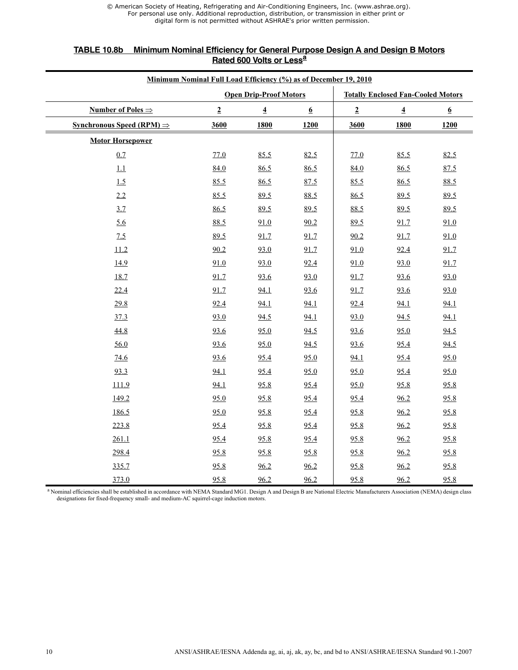| Minimum Nominal Full Load Efficiency (%) as of December 19, 2010 |                               |                |                |                                           |                |                  |
|------------------------------------------------------------------|-------------------------------|----------------|----------------|-------------------------------------------|----------------|------------------|
|                                                                  | <b>Open Drip-Proof Motors</b> |                |                | <b>Totally Enclosed Fan-Cooled Motors</b> |                |                  |
| Number of Poles $\Rightarrow$                                    | $\overline{2}$                | $\overline{4}$ | $6\phantom{1}$ | $\overline{2}$                            | $\overline{4}$ | $6 \overline{6}$ |
| Synchronous Speed (RPM) $\Rightarrow$                            | 3600                          | 1800           | 1200           | 3600                                      | 1800           | 1200             |
| <b>Motor Horsepower</b>                                          |                               |                |                |                                           |                |                  |
| 0.7                                                              | 77.0                          | 85.5           | 82.5           | 77.0                                      | 85.5           | 82.5             |
| 1.1                                                              | 84.0                          | 86.5           | 86.5           | 84.0                                      | 86.5           | 87.5             |
| 1.5                                                              | 85.5                          | 86.5           | 87.5           | 85.5                                      | 86.5           | 88.5             |
| 2.2                                                              | 85.5                          | 89.5           | 88.5           | 86.5                                      | 89.5           | 89.5             |
| 3.7                                                              | 86.5                          | 89.5           | 89.5           | 88.5                                      | 89.5           | 89.5             |
| 5.6                                                              | 88.5                          | 91.0           | 90.2           | 89.5                                      | 91.7           | 91.0             |
| 7.5                                                              | 89.5                          | 91.7           | 91.7           | 90.2                                      | 91.7           | 91.0             |
| 11.2                                                             | 90.2                          | 93.0           | 91.7           | 91.0                                      | 92.4           | 91.7             |
| 14.9                                                             | 91.0                          | 93.0           | 92.4           | 91.0                                      | 93.0           | 91.7             |
| 18.7                                                             | 91.7                          | 93.6           | 93.0           | 91.7                                      | 93.6           | 93.0             |
| 22.4                                                             | 91.7                          | 94.1           | 93.6           | 91.7                                      | 93.6           | 93.0             |
| 29.8                                                             | 92.4                          | 94.1           | 94.1           | 92.4                                      | 94.1           | 94.1             |
| 37.3                                                             | 93.0                          | 94.5           | 94.1           | 93.0                                      | 94.5           | 94.1             |
| 44.8                                                             | 93.6                          | 95.0           | 94.5           | 93.6                                      | 95.0           | 94.5             |
| 56.0                                                             | 93.6                          | 95.0           | 94.5           | 93.6                                      | 95.4           | 94.5             |
| 74.6                                                             | 93.6                          | 95.4           | 95.0           | 94.1                                      | 95.4           | 95.0             |
| 93.3                                                             | 94.1                          | 95.4           | 95.0           | 95.0                                      | 95.4           | 95.0             |
| 111.9                                                            | 94.1                          | 95.8           | 95.4           | 95.0                                      | 95.8           | 95.8             |
| 149.2                                                            | 95.0                          | 95.8           | 95.4           | 95.4                                      | 96.2           | 95.8             |
| 186.5                                                            | 95.0                          | 95.8           | 95.4           | 95.8                                      | 96.2           | 95.8             |
| 223.8                                                            | 95.4                          | 95.8           | 95.4           | 95.8                                      | 96.2           | 95.8             |
| 261.1                                                            | 95.4                          | 95.8           | 95.4           | 95.8                                      | 96.2           | 95.8             |
| 298.4                                                            | 95.8                          | 95.8           | 95.8           | 95.8                                      | 96.2           | 95.8             |
| 335.7                                                            | 95.8                          | 96.2           | 96.2           | 95.8                                      | 96.2           | 95.8             |
| 373.0                                                            | 95.8                          | 96.2           | 96.2           | 95.8                                      | 96.2           | 95.8             |

## **TABLE 10.8b Minimum Nominal Efficiency for General Purpose Design A and Design B Motors Rated 600 Volts or Lessa**

a Nominal efficiencies shall be established in accordance with NEMA Standard MG1. Design A and Design B are National Electric Manufacturers Association (NEMA) design class designations for fixed-frequency small- and medium-AC squirrel-cage induction motors.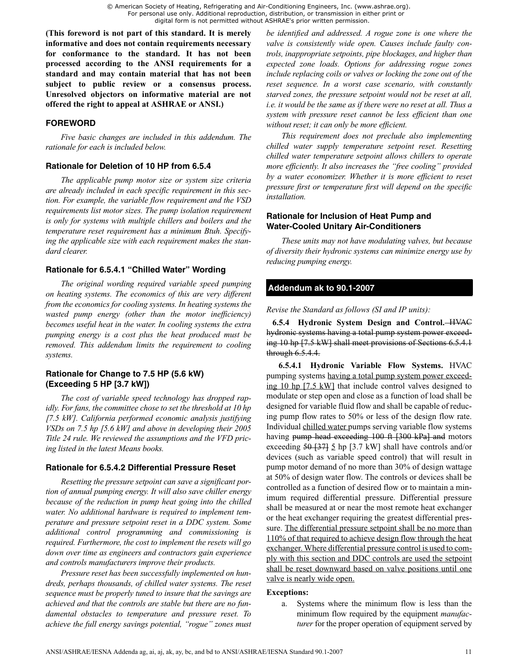**(This foreword is not part of this standard. It is merely informative and does not contain requirements necessary for conformance to the standard. It has not been processed according to the ANSI requirements for a standard and may contain material that has not been subject to public review or a consensus process. Unresolved objectors on informative material are not offered the right to appeal at ASHRAE or ANSI.)**

## **FOREWORD**

*Five basic changes are included in this addendum. The rationale for each is included below.*

## **Rationale for Deletion of 10 HP from 6.5.4**

*The applicable pump motor size or system size criteria are already included in each specific requirement in this section. For example, the variable flow requirement and the VSD requirements list motor sizes. The pump isolation requirement is only for systems with multiple chillers and boilers and the temperature reset requirement has a minimum Btuh. Specifying the applicable size with each requirement makes the standard clearer.*

## **Rationale for 6.5.4.1 "Chilled Water" Wording**

*The original wording required variable speed pumping on heating systems. The economics of this are very different from the economics for cooling systems. In heating systems the wasted pump energy (other than the motor inefficiency) becomes useful heat in the water. In cooling systems the extra pumping energy is a cost plus the heat produced must be removed. This addendum limits the requirement to cooling systems.*

## **Rationale for Change to 7.5 HP (5.6 kW) (Exceeding 5 HP [3.7 kW])**

*The cost of variable speed technology has dropped rapidly. For fans, the committee chose to set the threshold at 10 hp [7.5 kW]. California performed economic analysis justifying VSDs on 7.5 hp [5.6 kW] and above in developing their 2005 Title 24 rule. We reviewed the assumptions and the VFD pricing listed in the latest Means books.* 

## **Rationale for 6.5.4.2 Differential Pressure Reset**

*Resetting the pressure setpoint can save a significant portion of annual pumping energy. It will also save chiller energy because of the reduction in pump heat going into the chilled water. No additional hardware is required to implement temperature and pressure setpoint reset in a DDC system. Some additional control programming and commissioning is required. Furthermore, the cost to implement the resets will go down over time as engineers and contractors gain experience and controls manufacturers improve their products.*

*Pressure reset has been successfully implemented on hundreds, perhaps thousands, of chilled water systems. The reset sequence must be properly tuned to insure that the savings are achieved and that the controls are stable but there are no fundamental obstacles to temperature and pressure reset. To achieve the full energy savings potential, "rogue" zones must* *be identified and addressed. A rogue zone is one where the valve is consistently wide open. Causes include faulty controls, inappropriate setpoints, pipe blockages, and higher than expected zone loads. Options for addressing rogue zones include replacing coils or valves or locking the zone out of the reset sequence. In a worst case scenario, with constantly starved zones, the pressure setpoint would not be reset at all, i.e. it would be the same as if there were no reset at all. Thus a system with pressure reset cannot be less efficient than one without reset; it can only be more efficient.*

*This requirement does not preclude also implementing chilled water supply temperature setpoint reset. Resetting chilled water temperature setpoint allows chillers to operate more efficiently. It also increases the "free cooling" provided by a water economizer. Whether it is more efficient to reset pressure first or temperature first will depend on the specific installation.*

## **Rationale for Inclusion of Heat Pump and Water-Cooled Unitary Air-Conditioners**

*These units may not have modulating valves, but because of diversity their hydronic systems can minimize energy use by reducing pumping energy.* 

# **Addendum ak to 90.1-2007**

*Revise the Standard as follows (SI and IP units):*

**6.5.4 Hydronic System Design and Control.** HVAC hydronic systems having a total pump system power exceeding 10 hp [7.5 kW] shall meet provisions of Sections 6.5.4.1 through 6.5.4.4.

**6.5.4.1 Hydronic Variable Flow Systems.** HVAC pumping systems having a total pump system power exceeding 10 hp [7.5 kW] that include control valves designed to modulate or step open and close as a function of load shall be designed for variable fluid flow and shall be capable of reducing pump flow rates to 50% or less of the design flow rate. Individual chilled water pumps serving variable flow systems having pump head exceeding 100 ft [300 kPa] and motors exceeding  $50 \left[37\right] 5$  hp [3.7 kW] shall have controls and/or devices (such as variable speed control) that will result in pump motor demand of no more than 30% of design wattage at 50% of design water flow. The controls or devices shall be controlled as a function of desired flow or to maintain a minimum required differential pressure. Differential pressure shall be measured at or near the most remote heat exchanger or the heat exchanger requiring the greatest differential pressure. The differential pressure setpoint shall be no more than 110% of that required to achieve design flow through the heat exchanger. Where differential pressure control is used to comply with this section and DDC controls are used the setpoint shall be reset downward based on valve positions until one valve is nearly wide open.

#### **Exceptions:**

a. Systems where the minimum flow is less than the minimum flow required by the equipment *manufacturer* for the proper operation of equipment served by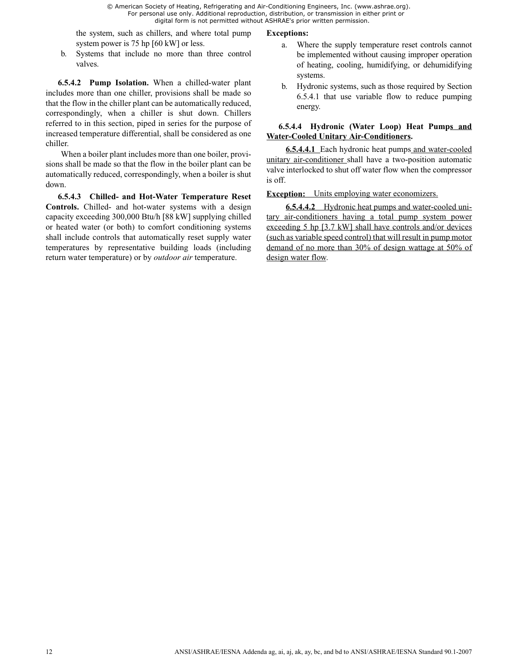the system, such as chillers, and where total pump system power is 75 hp [60 kW] or less.

b. Systems that include no more than three control valves.

**6.5.4.2 Pump Isolation.** When a chilled-water plant includes more than one chiller, provisions shall be made so that the flow in the chiller plant can be automatically reduced, correspondingly, when a chiller is shut down. Chillers referred to in this section, piped in series for the purpose of increased temperature differential, shall be considered as one chiller.

When a boiler plant includes more than one boiler, provisions shall be made so that the flow in the boiler plant can be automatically reduced, correspondingly, when a boiler is shut down.

**6.5.4.3 Chilled- and Hot-Water Temperature Reset Controls.** Chilled- and hot-water systems with a design capacity exceeding 300,000 Btu/h [88 kW] supplying chilled or heated water (or both) to comfort conditioning systems shall include controls that automatically reset supply water temperatures by representative building loads (including return water temperature) or by *outdoor air* temperature.

## **Exceptions:**

- a. Where the supply temperature reset controls cannot be implemented without causing improper operation of heating, cooling, humidifying, or dehumidifying systems.
- b. Hydronic systems, such as those required by Section 6.5.4.1 that use variable flow to reduce pumping energy.

## **6.5.4.4 Hydronic (Water Loop) Heat Pumps and Water-Cooled Unitary Air-Conditioners.**

**6.5.4.4.1** Each hydronic heat pumps and water-cooled unitary air-conditioner shall have a two-position automatic valve interlocked to shut off water flow when the compressor is off.

## **Exception:** Units employing water economizers.

**6.5.4.4.2** Hydronic heat pumps and water-cooled unitary air-conditioners having a total pump system power exceeding 5 hp [3.7 kW] shall have controls and/or devices (such as variable speed control) that will result in pump motor demand of no more than 30% of design wattage at 50% of design water flow.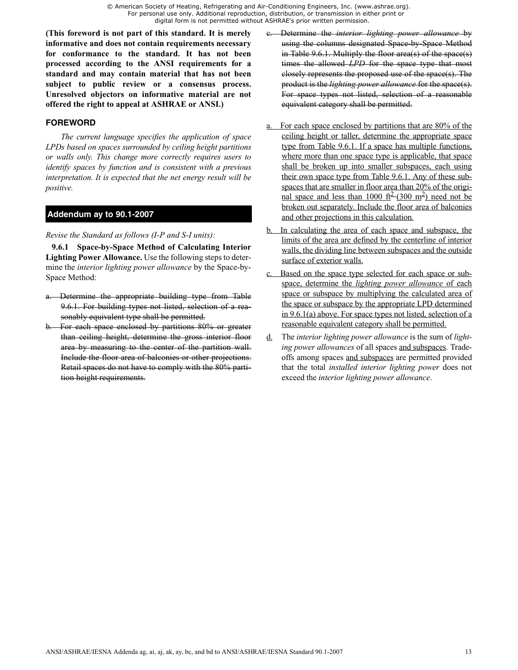**(This foreword is not part of this standard. It is merely informative and does not contain requirements necessary for conformance to the standard. It has not been processed according to the ANSI requirements for a standard and may contain material that has not been subject to public review or a consensus process. Unresolved objectors on informative material are not offered the right to appeal at ASHRAE or ANSI.)**

## **FOREWORD**

*The current language specifies the application of space LPDs based on spaces surrounded by ceiling height partitions or walls only. This change more correctly requires users to identify spaces by function and is consistent with a previous interpretation. It is expected that the net energy result will be positive.*

## **Addendum ay to 90.1-2007**

*Revise the Standard as follows (I-P and S-I units):*

**9.6.1 Space-by-Space Method of Calculating Interior Lighting Power Allowance.** Use the following steps to determine the *interior lighting power allowance* by the Space-by-Space Method:

- Determine the appropriate building type from Table 9.6.1. For building types not listed, selection of a reasonably equivalent type shall be permitted.
- b. For each space enclosed by partitions 80% or greater than ceiling height, determine the gross interior floor area by measuring to the center of the partition wall. Include the floor area of balconies or other projections. Retail spaces do not have to comply with the 80% partition height requirements.
- c. Determine the *interior lighting power allowance* by using the columns designated Space-by-Space Method in Table 9.6.1. Multiply the floor area(s) of the space(s) times the allowed *LPD* for the space type that most closely represents the proposed use of the space(s). The product is the *lighting power allowance* for the space(s). For space types not listed, selection of a reasonable equivalent category shall be permitted.
- For each space enclosed by partitions that are 80% of the ceiling height or taller, determine the appropriate space type from Table 9.6.1. If a space has multiple functions, where more than one space type is applicable, that space shall be broken up into smaller subspaces, each using their own space type from Table 9.6.1. Any of these subspaces that are smaller in floor area than 20% of the original space and less than 1000  $\text{ft}^2$  (300 m<sup>2</sup>) need not be broken out separately. Include the floor area of balconies and other projections in this calculation.
- b. In calculating the area of each space and subspace, the limits of the area are defined by the centerline of interior walls, the dividing line between subspaces and the outside surface of exterior walls.
- c. Based on the space type selected for each space or subspace, determine the *lighting power allowance* of each space or subspace by multiplying the calculated area of the space or subspace by the appropriate LPD determined in 9.6.1(a) above. For space types not listed, selection of a reasonable equivalent category shall be permitted.
- d. The *interior lighting power allowance* is the sum of *lighting power allowances* of all spaces and subspaces. Tradeoffs among spaces and subspaces are permitted provided that the total *installed interior lighting power* does not exceed the *interior lighting power allowance*.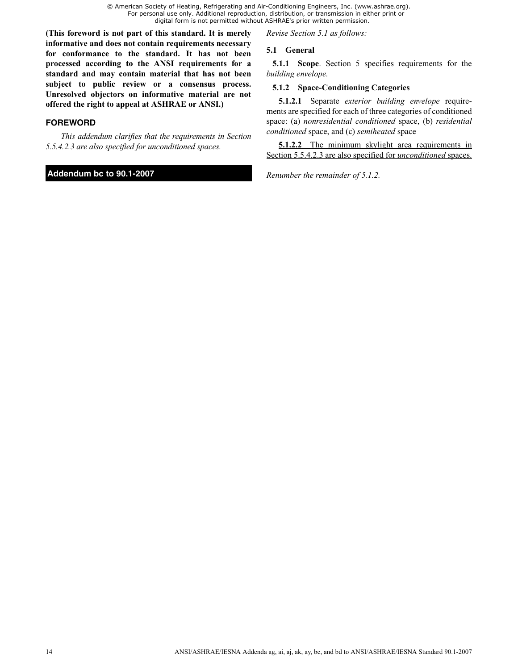**(This foreword is not part of this standard. It is merely informative and does not contain requirements necessary for conformance to the standard. It has not been processed according to the ANSI requirements for a standard and may contain material that has not been subject to public review or a consensus process. Unresolved objectors on informative material are not offered the right to appeal at ASHRAE or ANSI.)**

## **FOREWORD**

*This addendum clarifies that the requirements in Section 5.5.4.2.3 are also specified for unconditioned spaces.*

**Addendum bc to 90.1-2007** *Renumber the remainder of 5.1.2.*

*Revise Section 5.1 as follows:*

## **5.1 General**

**5.1.1 Scope**. Section 5 specifies requirements for the *building envelope.*

## **5.1.2 Space-Conditioning Categories**

**5.1.2.1** Separate *exterior building envelope* requirements are specified for each of three categories of conditioned space: (a) *nonresidential conditioned* space, (b) *residential conditioned* space, and (c) *semiheated* space

**5.1.2.2** The minimum skylight area requirements in Section 5.5.4.2.3 are also specified for *unconditioned* spaces.